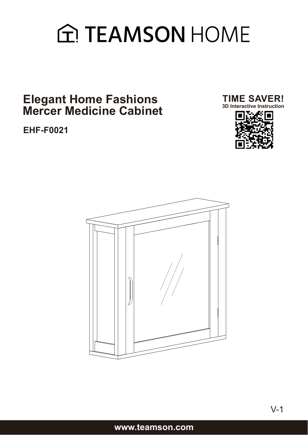# **A TEAMSON HOME**

### **Elegant Home Fashions Mercer Medicine Cabinet**

**EHF-F0021**





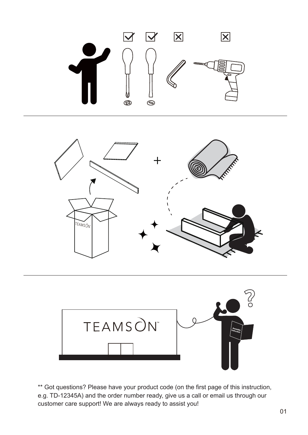





\*\* Got questions? Please have your product code (on the first page of this instruction, e.g. TD-12345A) and the order number ready, give us a call or email us through our customer care support! We are always ready to assist you!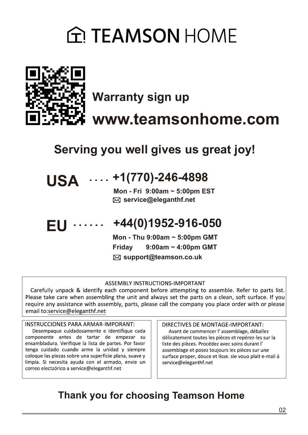## **G. TEAMSON HOME**



**Warranty sign up www.teamsonhome.com**

**Serving you well gives us great joy!**

## **USA +1(770)-246-4898**

 **service@eleganthf.net Mon - Fri 9:00am ~ 5:00pm EST**

#### **+44(0)1952-916-050 EU**

**support@teamson.co.uk Mon - Thu 9:00am ~ 5:00pm GMT Friday 9:00am ~ 4:00pm GMT**

#### **ASSEMBLY INSTRUCTIONS-IMPORTANT**

Carefully unpack & identify each component before attempting to assemble. Refer to parts list. Please take care when assembling the unit and always set the parts on a clean, soft surface. If you require any assistance with assembly, parts, please call the company you place order with or please email to:service@eleganthf.net

#### **INSTRUCCIONES PARA ARMAR-IMPORANT:**

Desempaque cuidadosamente e identifique cada componente antes de tartar de empezar su ensambladura. Verifique la lista de partes. Por favor tenga cuidado cuando arme la unidad y siempre coloque las piezas sobre una superficie plana, suave y limpia. Si necesita ayuda con el armado, envie un correo electzórico a service@eleganthf.net

DIRECTIVES DE MONTAGE-IMPORTANT:

Avant de commencer l'assemblage, déballez délicatement toutes les pièces et repérez-les sur la liste des pièces. Procédez avec soins durant l' assemblage et posez toujours les pièces sur une surface proper, douce et lisse. sie vouo plait e-mail á service@eleganthf.net

### **Thank you for choosing Teamson Home**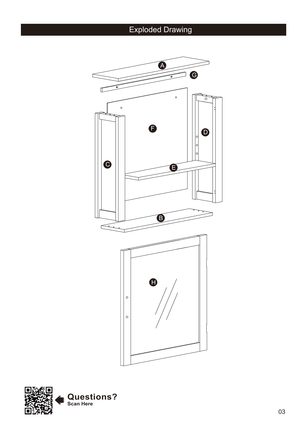## Exploded Drawing



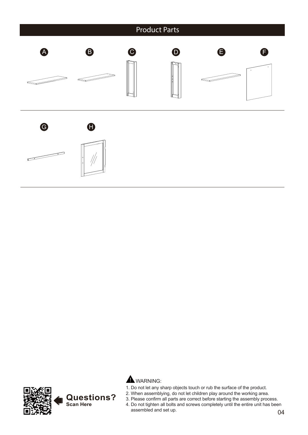





- 1. Do not let any sharp objects touch or rub the surface of the product.
- 2. When assemblying, do not let children play around the working area.
- 3. Please confirm all parts are correct before starting the assembly process.
- 4. Do not tighten all bolts and screws completely until the entire unit has been assembled and set up.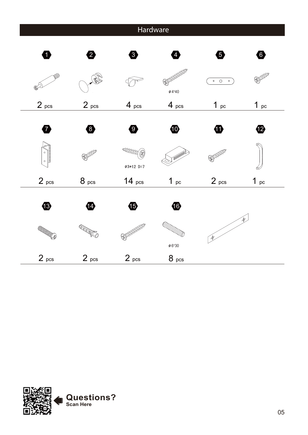| Hardware                                 |                               |                                      |                                      |                      |                 |
|------------------------------------------|-------------------------------|--------------------------------------|--------------------------------------|----------------------|-----------------|
| 0                                        | 2                             | ❸                                    | $\mathcal{A}_{\cdot}$                | ❺                    | $\bullet$       |
|                                          |                               |                                      | <b>ANDORESSER</b><br>$\phi$ 4*40     | $\circ$ 0<br>$\circ$ | <b>BOODDER</b>  |
| 2 <sub>pcs</sub>                         | 2 <sub>pcs</sub>              | $4_{pcs}$                            | 4 <sub>pcs</sub>                     | $1_{pc}$             | $1_{pc}$        |
| Ø<br>$\circ$<br>◦ା                       | 8                             | $\bullet$<br>THEORY (R)              | $\bf \Phi$                           | ➊<br><b>RADEDEES</b> | ⑫               |
| 2 <sub>pcs</sub>                         | 8 <sub>pcs</sub>              | Ø3*12 D=7<br>14 <sub>pcs</sub>       | 1 <sub>pc</sub>                      | 2 <sub>pcs</sub>     | 1 <sub>pc</sub> |
| $\bigoplus$<br><b>CONTROLLED SERVICE</b> | 14<br><b>College Strategy</b> | $\bf \Phi$<br><b>BULLED BEEFEREE</b> | $\bf \Phi$<br>$\varPhi\,6^{\star}30$ | Þ.<br>$\mathcal{L}$  |                 |
| 2 <sub>pos</sub>                         | 2 <sub>pos</sub>              | 2 <sub>pos</sub>                     | 8 <sub>pcs</sub>                     |                      |                 |

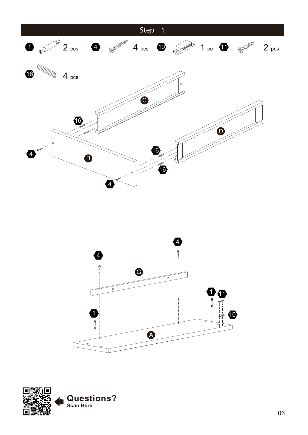



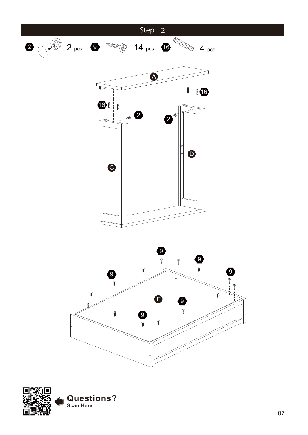

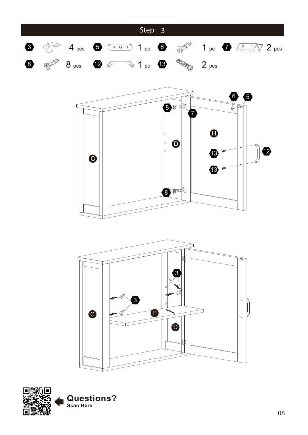





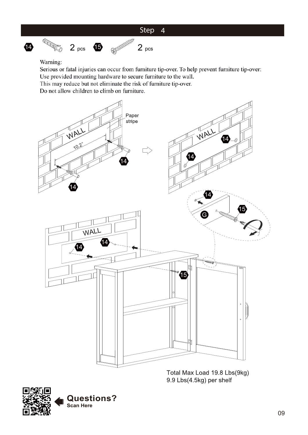

 $2<sub>pos</sub>$ 



**CONTROL** 

 $\Phi$ 

Serious or fatal injuries can occur from furniture tip-over. To help prevent furniture tip-over: Use provided mounting hardware to secure furniture to the wall.

This may reduce but not eliminate the risk of furniture tip-over.

**ENTERED BOOM** 

Do not allow children to climb on furniture.

 $2 \text{ } \rho \text{cs}$  (b)



Total Max Load 19.8 Lbs(9kg) 9.9 Lbs(4.5kg) per shelf